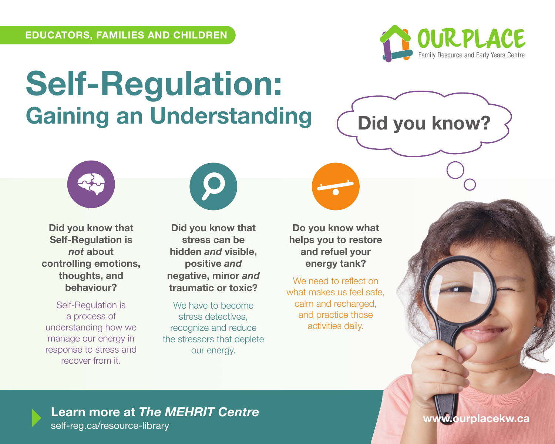

**Did you know?**

## **Self-Regulation: Gaining an Understanding**

**Did you know that Self-Regulation is**  *not* **about controlling emotions, thoughts, and behaviour?**

Self-Regulation is a process of understanding how we manage our energy in response to stress and recover from it.



**Did you know that stress can be hidden** *and* **visible, positive** *and* **negative, minor** *and* **traumatic or toxic?**

We have to become stress detectives, recognize and reduce the stressors that deplete our energy.

**Do you know what helps you to restore and refuel your energy tank?**

We need to reflect on what makes us feel safe, calm and recharged, and practice those activities daily.

**www.ourplacekw.ca Learn more at** *The MEHRIT Centre* self-reg.ca/resource-library